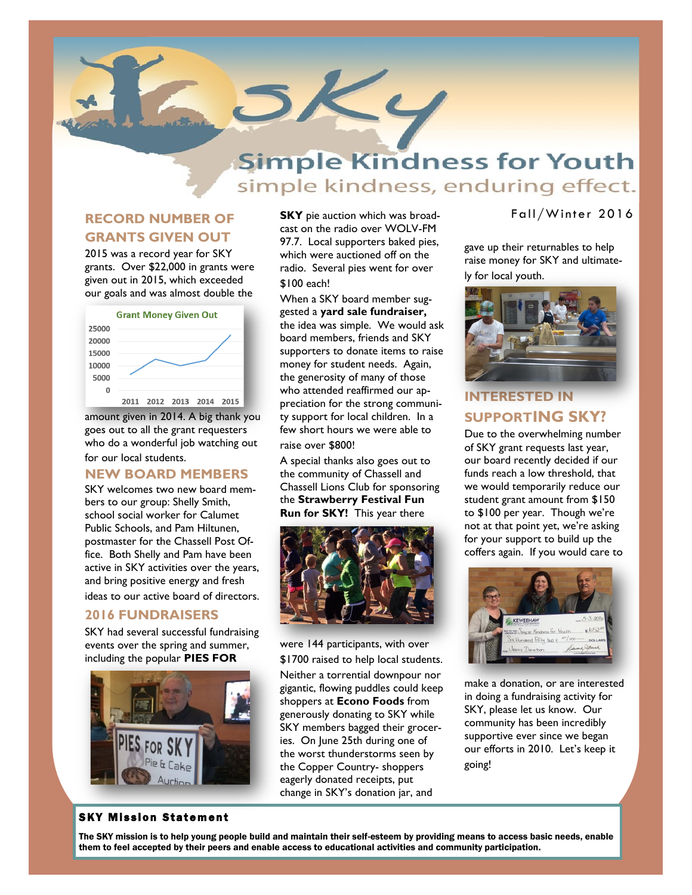

# **Simple Kindness for Youth** simple kindness, enduring effect.

### **RECORD NUMBER OF GRANTS GIVEN OUT**

2015 was a record year for SKY grants. Over \$22,000 in grants were given out in 2015, which exceeded our goals and was almost double the



amount given in 2014. A big thank you goes out to all the grant requesters who do a wonderful job watching out for our local students.

#### **NEW BOARD MEMBERS**

SKY welcomes two new board members to our group: Shelly Smith, school social worker for Calumet Public Schools, and Pam Hiltunen, postmaster for the Chassell Post Office. Both Shelly and Pam have been active in SKY activities over the years, and bring positive energy and fresh ideas to our active board of directors.

#### **2016 FUNDRAISERS**

SKY had several successful fundraising events over the spring and summer, including the popular **PIES FOR** 



**SKY** pie auction which was broadcast on the radio over WOLV-FM 97.7. Local supporters baked pies, which were auctioned off on the radio. Several pies went for over \$100 each!

When a SKY board member suggested a **yard sale fundraiser,**  the idea was simple. We would ask board members, friends and SKY supporters to donate items to raise money for student needs. Again, the generosity of many of those who attended reaffirmed our appreciation for the strong community support for local children. In a few short hours we were able to raise over \$800!

A special thanks also goes out to the community of Chassell and Chassell Lions Club for sponsoring the **Strawberry Festival Fun Run for SKY!** This year there



were 144 participants, with over \$1700 raised to help local students. Neither a torrential downpour nor gigantic, flowing puddles could keep shoppers at **Econo Foods** from generously donating to SKY while SKY members bagged their groceries. On June 25th during one of the worst thunderstorms seen by the Copper Country- shoppers eagerly donated receipts, put change in SKY's donation jar, and

#### Fall/Winter 2016

gave up their returnables to help raise money for SKY and ultimately for local youth.



## **INTERESTED IN SUPPORTING SKY?**

Due to the overwhelming number of SKY grant requests last year, our board recently decided if our funds reach a low threshold, that we would temporarily reduce our student grant amount from \$150 to \$100 per year. Though we're not at that point yet, we're asking for your support to build up the coffers again. If you would care to



make a donation, or are interested in doing a fundraising activity for SKY, please let us know. Our community has been incredibly supportive ever since we began our efforts in 2010. Let's keep it going!

#### **SKY Mission Statement**

The SKY mission is to help young people build and maintain their self-esteem by providing means to access basic needs, enable them to feel accepted by their peers and enable access to educational activities and community participation.